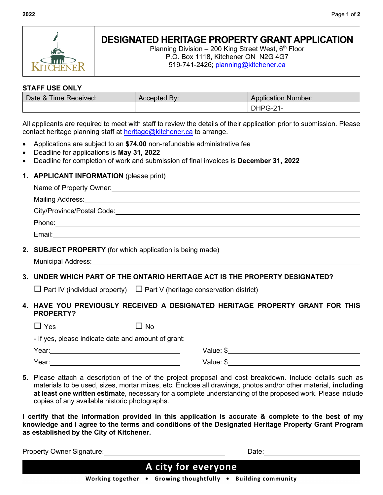

## **DESIGNATED HERITAGE PROPERTY GRANT APPLICATION**

Planning Division – 200 King Street West,  $6<sup>th</sup>$  Floor P.O. Box 1118, Kitchener ON N2G 4G7 519-741-2426; [planning@kitchener.ca](mailto:planning@kitchener.ca)

## **STAFF USE ONLY**

| Date & Time Received: | Accepted By: | <b>Application Number:</b> |
|-----------------------|--------------|----------------------------|
|                       |              | DHPG-21                    |

All applicants are required to meet with staff to review the details of their application prior to submission. Please contact heritage planning staff at [heritage@kitchener.ca](mailto:heritage@kitchener.ca) to arrange.

- Applications are subject to an **\$74.00** non-refundable administrative fee
- Deadline for applications is **May 31, 2022**
- Deadline for completion of work and submission of final invoices is **December 31, 2022**

## **1. APPLICANT INFORMATION** (please print)

| Name of Property Owner: Name of Property Owner:                                                                                                                                                                                |           |                                                                                                                                                                                                                                |  |  |
|--------------------------------------------------------------------------------------------------------------------------------------------------------------------------------------------------------------------------------|-----------|--------------------------------------------------------------------------------------------------------------------------------------------------------------------------------------------------------------------------------|--|--|
| Mailing Address: National Address: National Address: National Address: National Address: National Address: National Address: National Address: National Address: National Address: National Address: National Address: Nationa |           |                                                                                                                                                                                                                                |  |  |
|                                                                                                                                                                                                                                |           |                                                                                                                                                                                                                                |  |  |
|                                                                                                                                                                                                                                |           | Phone: 2008 Contract to the contract of the contract of the contract of the contract of the contract of the contract of the contract of the contract of the contract of the contract of the contract of the contract of the co |  |  |
|                                                                                                                                                                                                                                |           |                                                                                                                                                                                                                                |  |  |
| 2. SUBJECT PROPERTY (for which application is being made)                                                                                                                                                                      |           |                                                                                                                                                                                                                                |  |  |
| 3. UNDER WHICH PART OF THE ONTARIO HERITAGE ACT IS THE PROPERTY DESIGNATED?                                                                                                                                                    |           |                                                                                                                                                                                                                                |  |  |
| $\Box$ Part IV (individual property) $\Box$ Part V (heritage conservation district)                                                                                                                                            |           |                                                                                                                                                                                                                                |  |  |
| 4. HAVE YOU PREVIOUSLY RECEIVED A DESIGNATED HERITAGE PROPERTY GRANT FOR THIS<br><b>PROPERTY?</b>                                                                                                                              |           |                                                                                                                                                                                                                                |  |  |
| $\Box$ Yes                                                                                                                                                                                                                     | $\Box$ No |                                                                                                                                                                                                                                |  |  |
| - If yes, please indicate date and amount of grant:                                                                                                                                                                            |           |                                                                                                                                                                                                                                |  |  |
|                                                                                                                                                                                                                                |           |                                                                                                                                                                                                                                |  |  |
|                                                                                                                                                                                                                                |           |                                                                                                                                                                                                                                |  |  |
|                                                                                                                                                                                                                                |           |                                                                                                                                                                                                                                |  |  |

**5.** Please attach a description of the of the project proposal and cost breakdown. Include details such as materials to be used, sizes, mortar mixes, etc. Enclose all drawings, photos and/or other material, **including at least one written estimate**, necessary for a complete understanding of the proposed work. Please include copies of any available historic photographs.

**I certify that the information provided in this application is accurate & complete to the best of my knowledge and I agree to the terms and conditions of the Designated Heritage Property Grant Program as established by the City of Kitchener.**

**Property Owner Signature:**  $\blacksquare$